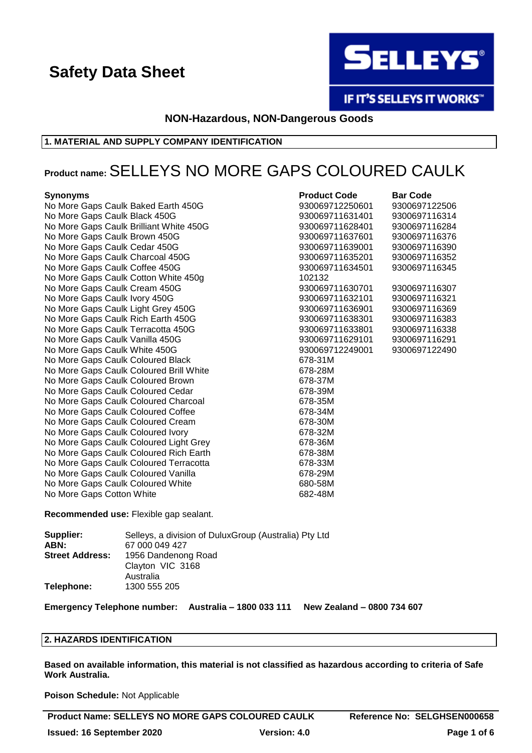

IF IT'S SELLEYS IT WORKS"

**NON-Hazardous, NON-Dangerous Goods**

# **1. MATERIAL AND SUPPLY COMPANY IDENTIFICATION**

# **Product name:**SELLEYS NO MORE GAPS COLOURED CAULK

### **Synonyms Product Code Barr <b>Code Barr Code Barr Code Barr Code Barr Code Barr Code Barr Code Barr Code Barr Code Barr Code Barr Code Barr Code Barr Code Barr Code Barr Code Barr Code Ba**

No More Gaps Caulk Baked Earth 450G 930069712250601 9300697122506 No More Gaps Caulk Black 450G **930069711631401** 9300697116314 No More Gaps Caulk Brilliant White 450G 930069711628401 9300697116284 No More Gaps Caulk Brown 450G **930069711637601** 930069711637601 No More Gaps Caulk Cedar 450G **930069711639001** 930069711639001 No More Gaps Caulk Charcoal 450G 930069711635201 9300697116352 No More Gaps Caulk Coffee 450G 930069711634501 9300697116345 No More Gaps Caulk Cotton White 450g 10213222 No More Gaps Caulk Cream 450G 930069711630701 9300697116307 No More Gaps Caulk Ivory 450G **930069711632101** 930069711632101 No More Gaps Caulk Light Grey 450G 930069711636901 9300697116369 No More Gaps Caulk Rich Earth 450G 930069711638301 9300697116383 No More Gaps Caulk Terracotta 450G 9300 830069711633801 9300697116338 No More Gaps Caulk Vanilla 450G **930069711629111629101** 9300697116291 No More Gaps Caulk White 450G 930069712249001 930069712249001 No More Gaps Caulk Coloured Black 678-31 Moment Coloured Black No More Gaps Caulk Coloured Brill White 678-28 More 678-28 No More Gaps Caulk Coloured Brown 678-37 Months 678-37 Months 678-37 No More Gaps Caulk Coloured Cedar 678-39 Months 678-39 No More Gaps Caulk Coloured Charcoal 678-35 Months 678-35 No More Gaps Caulk Coloured Coffee 678-348-34 Mo No More Gaps Caulk Coloured Cream 678-3000 More Gaps 678-30 No More Gaps Caulk Coloured Ivory 678-320-32 No More Gaps Caulk Coloured Light Grey 678-36 No More Gaps Caulk Coloured Rich Earth 678-38 No More Gaps Caulk Coloured Terracotta 678-33M No More Gaps Caulk Coloured Vanilla 678-29M No More Gaps Caulk Coloured White 680-58M No More Gaps Cotton White 682-48M

| Product Code      | <b>Bar Code</b> |
|-------------------|-----------------|
| 30069712250601    | 930069712250    |
| 30069711631401    | 930069711631    |
| 30069711628401    | 930069711628    |
| 30069711637601    | 930069711637    |
| 30069711639001    | 930069711639    |
| 30069711635201    | 930069711635    |
| 30069711634501    | 930069711634    |
| 02132             |                 |
| 30069711630701    | 930069711630    |
| 30069711632101    | 930069711632    |
| 30069711636901    | 930069711636    |
| 30069711638301    | 930069711638    |
| 30069711633801    | 930069711633    |
| 30069711629101    | 930069711629    |
| 30069712249001    | 930069712249    |
| 78-31M            |                 |
| i78-28M           |                 |
| i78-37M           |                 |
| i78-39M           |                 |
| 78-35M<br>i78-34M |                 |
|                   |                 |
| i78-30M           |                 |
| 78-32M<br>i78-36M |                 |
| 78-38M            |                 |
| $-70.221$         |                 |

**Recommended use:** Flexible gap sealant.

| Supplier:              | Selleys, a division of DuluxGroup (Australia) Pty Ltd |
|------------------------|-------------------------------------------------------|
| ABN:                   | 67 000 049 427                                        |
| <b>Street Address:</b> | 1956 Dandenong Road                                   |
|                        | Clayton VIC 3168                                      |
|                        | Australia                                             |
| Telephone:             | 1300 555 205                                          |

**Emergency Telephone number: Australia – 1800 033 111 New Zealand – 0800 734 607**

#### **2. HAZARDS IDENTIFICATION**

**Based on available information, this material is not classified as hazardous according to criteria of Safe Work Australia.**

**Poison Schedule:** Not Applicable

**Product Name: SELLEYS NO MORE GAPS COLOURED CAULK Reference No: SELGHSEN000658**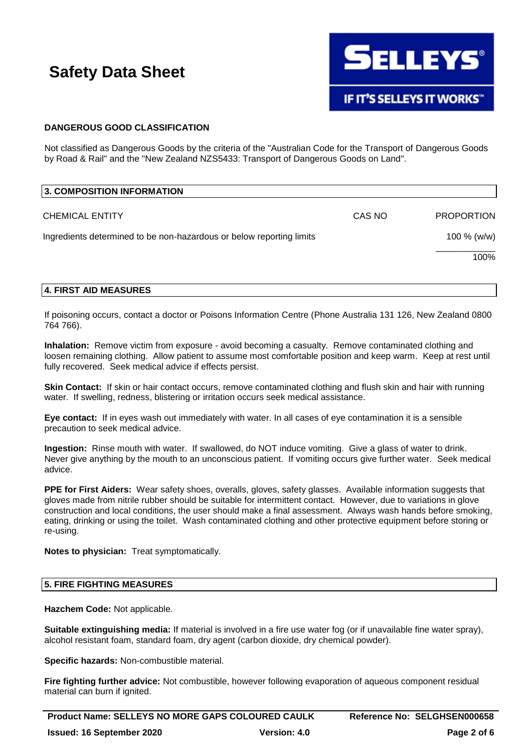

# **DANGEROUS GOOD CLASSIFICATION**

Not classified as Dangerous Goods by the criteria of the "Australian Code for the Transport of Dangerous Goods by Road & Rail" and the "New Zealand NZS5433: Transport of Dangerous Goods on Land".

| 3. COMPOSITION INFORMATION                                           |        |                   |
|----------------------------------------------------------------------|--------|-------------------|
| <b>CHEMICAL ENTITY</b>                                               | CAS NO | <b>PROPORTION</b> |
| Ingredients determined to be non-hazardous or below reporting limits |        | 100 % (w/w)       |
|                                                                      |        | 100%              |

# **4. FIRST AID MEASURES**

If poisoning occurs, contact a doctor or Poisons Information Centre (Phone Australia 131 126, New Zealand 0800 764 766).

**Inhalation:** Remove victim from exposure - avoid becoming a casualty. Remove contaminated clothing and loosen remaining clothing. Allow patient to assume most comfortable position and keep warm. Keep at rest until fully recovered. Seek medical advice if effects persist.

**Skin Contact:** If skin or hair contact occurs, remove contaminated clothing and flush skin and hair with running water. If swelling, redness, blistering or irritation occurs seek medical assistance.

**Eye contact:** If in eyes wash out immediately with water. In all cases of eye contamination it is a sensible precaution to seek medical advice.

**Ingestion:** Rinse mouth with water. If swallowed, do NOT induce vomiting. Give a glass of water to drink. Never give anything by the mouth to an unconscious patient. If vomiting occurs give further water. Seek medical advice.

**PPE for First Aiders:** Wear safety shoes, overalls, gloves, safety glasses. Available information suggests that gloves made from nitrile rubber should be suitable for intermittent contact. However, due to variations in glove construction and local conditions, the user should make a final assessment. Always wash hands before smoking, eating, drinking or using the toilet. Wash contaminated clothing and other protective equipment before storing or re-using.

**Notes to physician:** Treat symptomatically.

## **5. FIRE FIGHTING MEASURES**

**Hazchem Code:** Not applicable.

**Suitable extinguishing media:** If material is involved in a fire use water fog (or if unavailable fine water spray), alcohol resistant foam, standard foam, dry agent (carbon dioxide, dry chemical powder).

**Specific hazards:** Non-combustible material.

**Fire fighting further advice:** Not combustible, however following evaporation of aqueous component residual material can burn if ignited.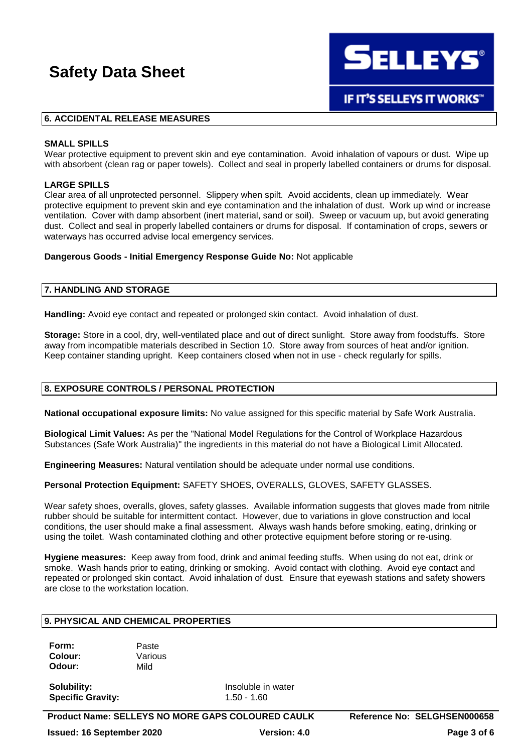**SELLEYS®** 

**IF IT'S SELLEYS IT WORKS"** 

### **6. ACCIDENTAL RELEASE MEASURES**

#### **SMALL SPILLS**

Wear protective equipment to prevent skin and eve contamination. Avoid inhalation of vapours or dust. Wipe up with absorbent (clean rag or paper towels). Collect and seal in properly labelled containers or drums for disposal.

#### **LARGE SPILLS**

Clear area of all unprotected personnel. Slippery when spilt. Avoid accidents, clean up immediately. Wear protective equipment to prevent skin and eye contamination and the inhalation of dust. Work up wind or increase ventilation. Cover with damp absorbent (inert material, sand or soil). Sweep or vacuum up, but avoid generating dust. Collect and seal in properly labelled containers or drums for disposal. If contamination of crops, sewers or waterways has occurred advise local emergency services.

#### **Dangerous Goods - Initial Emergency Response Guide No:** Not applicable

### **7. HANDLING AND STORAGE**

**Handling:** Avoid eye contact and repeated or prolonged skin contact. Avoid inhalation of dust.

**Storage:** Store in a cool, dry, well-ventilated place and out of direct sunlight. Store away from foodstuffs. Store away from incompatible materials described in Section 10. Store away from sources of heat and/or ignition. Keep container standing upright. Keep containers closed when not in use - check regularly for spills.

#### **8. EXPOSURE CONTROLS / PERSONAL PROTECTION**

**National occupational exposure limits:** No value assigned for this specific material by Safe Work Australia.

**Biological Limit Values:** As per the "National Model Regulations for the Control of Workplace Hazardous Substances (Safe Work Australia)" the ingredients in this material do not have a Biological Limit Allocated.

**Engineering Measures:** Natural ventilation should be adequate under normal use conditions.

**Personal Protection Equipment:** SAFETY SHOES, OVERALLS, GLOVES, SAFETY GLASSES.

Wear safety shoes, overalls, gloves, safety glasses. Available information suggests that gloves made from nitrile rubber should be suitable for intermittent contact. However, due to variations in glove construction and local conditions, the user should make a final assessment. Always wash hands before smoking, eating, drinking or using the toilet. Wash contaminated clothing and other protective equipment before storing or re-using.

**Hygiene measures:** Keep away from food, drink and animal feeding stuffs. When using do not eat, drink or smoke. Wash hands prior to eating, drinking or smoking. Avoid contact with clothing. Avoid eye contact and repeated or prolonged skin contact. Avoid inhalation of dust. Ensure that eyewash stations and safety showers are close to the workstation location.

# **9. PHYSICAL AND CHEMICAL PROPERTIES**

**Form:** Paste **Colour:** Various **Odour:** Mild

**Solubility:** Insoluble in water **Specific Gravity:** 1.50 - 1.60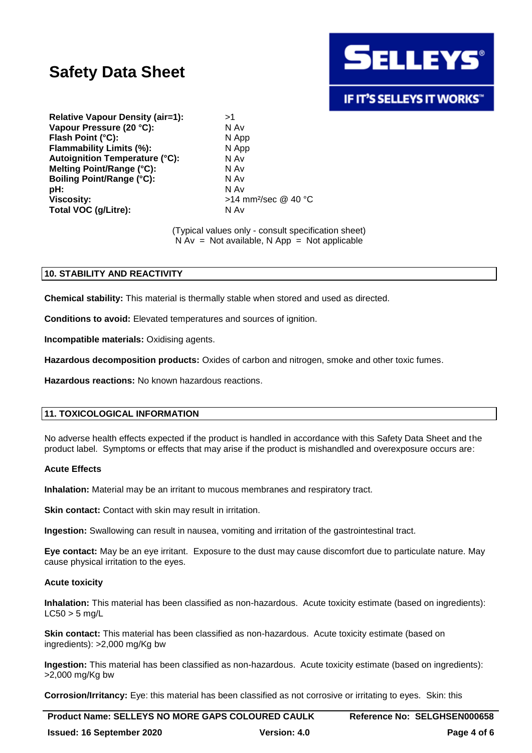

# **IF IT'S SELLEYS IT WORKS"**

**Relative Vapour Density (air=1):** >1 **Vapour Pressure (20 °C):** N Av **Flash Point (°C):** N App **Flammability Limits (%):** N App **Autoignition Temperature (°C):** N Av **Melting Point/Range (°C):** N Av **Boiling Point/Range (°C):** N Av **pH:** N Av **Viscosity:**  $>14$  mm<sup>2</sup>/sec @ 40 °C **Total VOC (g/Litre):** N Av

(Typical values only - consult specification sheet)  $N Av = Not available, N App = Not applicable$ 

# **10. STABILITY AND REACTIVITY**

**Chemical stability:** This material is thermally stable when stored and used as directed.

**Conditions to avoid:** Elevated temperatures and sources of ignition.

**Incompatible materials:** Oxidising agents.

**Hazardous decomposition products:** Oxides of carbon and nitrogen, smoke and other toxic fumes.

**Hazardous reactions:** No known hazardous reactions.

# **11. TOXICOLOGICAL INFORMATION**

No adverse health effects expected if the product is handled in accordance with this Safety Data Sheet and the product label. Symptoms or effects that may arise if the product is mishandled and overexposure occurs are:

#### **Acute Effects**

**Inhalation:** Material may be an irritant to mucous membranes and respiratory tract.

**Skin contact:** Contact with skin may result in irritation.

**Ingestion:** Swallowing can result in nausea, vomiting and irritation of the gastrointestinal tract.

**Eye contact:** May be an eye irritant. Exposure to the dust may cause discomfort due to particulate nature. May cause physical irritation to the eyes.

#### **Acute toxicity**

**Inhalation:** This material has been classified as non-hazardous. Acute toxicity estimate (based on ingredients):  $LC50 > 5$  ma/L

**Skin contact:** This material has been classified as non-hazardous. Acute toxicity estimate (based on ingredients): >2,000 mg/Kg bw

**Ingestion:** This material has been classified as non-hazardous. Acute toxicity estimate (based on ingredients): >2,000 mg/Kg bw

**Corrosion/Irritancy:** Eye: this material has been classified as not corrosive or irritating to eyes. Skin: this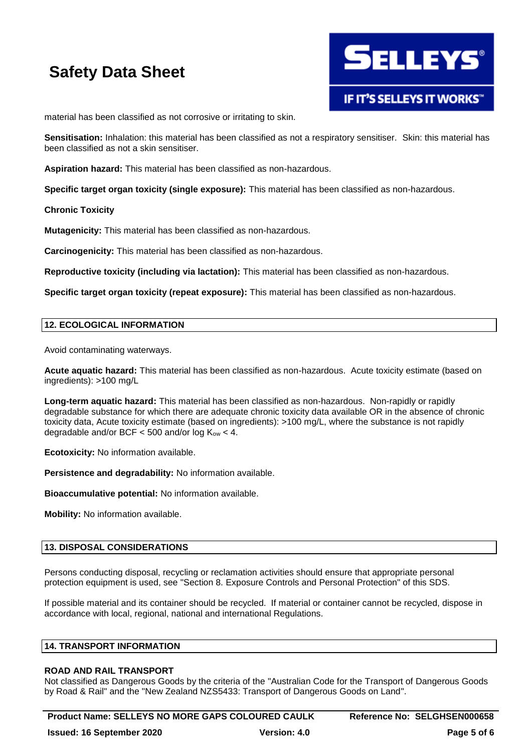

material has been classified as not corrosive or irritating to skin.

**Sensitisation:** Inhalation: this material has been classified as not a respiratory sensitiser. Skin: this material has been classified as not a skin sensitiser.

**Aspiration hazard:** This material has been classified as non-hazardous.

**Specific target organ toxicity (single exposure):** This material has been classified as non-hazardous.

### **Chronic Toxicity**

**Mutagenicity:** This material has been classified as non-hazardous.

**Carcinogenicity:** This material has been classified as non-hazardous.

**Reproductive toxicity (including via lactation):** This material has been classified as non-hazardous.

**Specific target organ toxicity (repeat exposure):** This material has been classified as non-hazardous.

### **12. ECOLOGICAL INFORMATION**

Avoid contaminating waterways.

**Acute aquatic hazard:** This material has been classified as non-hazardous. Acute toxicity estimate (based on ingredients): >100 mg/L

**Long-term aquatic hazard:** This material has been classified as non-hazardous. Non-rapidly or rapidly degradable substance for which there are adequate chronic toxicity data available OR in the absence of chronic toxicity data, Acute toxicity estimate (based on ingredients): >100 mg/L, where the substance is not rapidly degradable and/or BCF  $<$  500 and/or log K<sub>ow</sub>  $<$  4.

**Ecotoxicity:** No information available.

**Persistence and degradability:** No information available.

**Bioaccumulative potential:** No information available.

**Mobility:** No information available.

# **13. DISPOSAL CONSIDERATIONS**

Persons conducting disposal, recycling or reclamation activities should ensure that appropriate personal protection equipment is used, see "Section 8. Exposure Controls and Personal Protection" of this SDS.

If possible material and its container should be recycled. If material or container cannot be recycled, dispose in accordance with local, regional, national and international Regulations.

#### **14. TRANSPORT INFORMATION**

#### **ROAD AND RAIL TRANSPORT**

Not classified as Dangerous Goods by the criteria of the "Australian Code for the Transport of Dangerous Goods by Road & Rail" and the "New Zealand NZS5433: Transport of Dangerous Goods on Land".